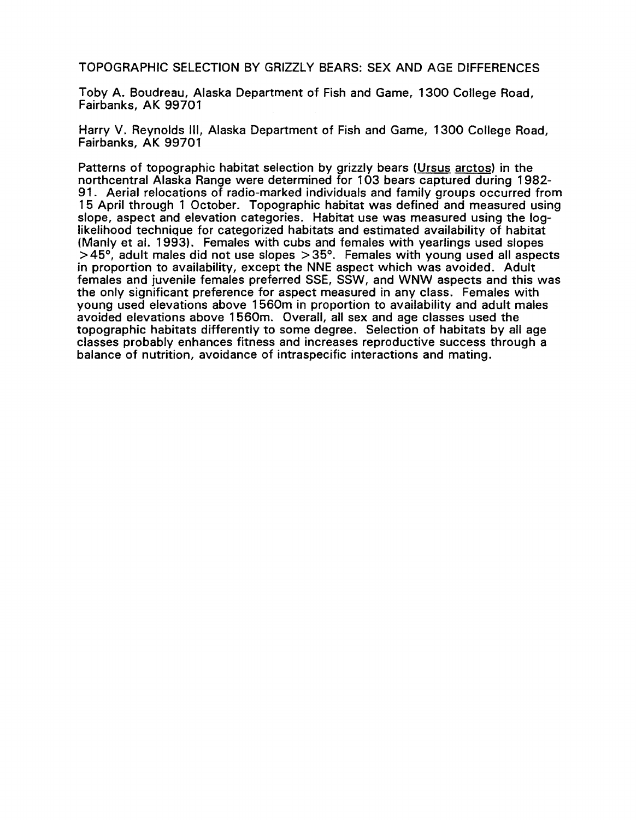TOPOGRAPHIC SELECTION BY GRIZZLY BEARS: SEX AND AGE DIFFERENCES

Toby A. Boudreau, Alaska Department of Fish and Game, 1300 College Road, Fairbanks, AK 99701

Harry V. Reynolds Ill, Alaska Department of Fish and Game, 1300 College Road, Fairbanks, AK 99701

Patterns of topographic habitat selection by grizzly bears (Ursus arctos) in the northcentral Alaska Range were determined for 103 bears captured during 1982 91. Aerial relocations of radio-marked individuals and family groups occurred from 15 April through 1 October. Topographic habitat was defined and measured using slope, aspect and elevation categories. Habitat use was measured using the loglikelihood technique for categorized habitats and estimated availability of habitat (Manly et al. 1993). Females with cubs and females with yearlings used slopes  $>45^{\circ}$ , adult males did not use slopes  $>35^{\circ}$ . Females with young used all aspects in proportion to availability, except the NNE aspect which was avoided. Adult females and juvenile females preferred SSE, SSW, and WNW aspects and this was the only significant preference for aspect measured in any class. Females with young used elevations above 1560m in proportion to availability and adult males avoided elevations above 1560m. Overall, all sex and age classes used the topographic habitats differently to some degree. Selection of habitats by all age classes probably enhances fitness and increases reproductive success through a balance of nutrition, avoidance of intraspecific interactions and mating.